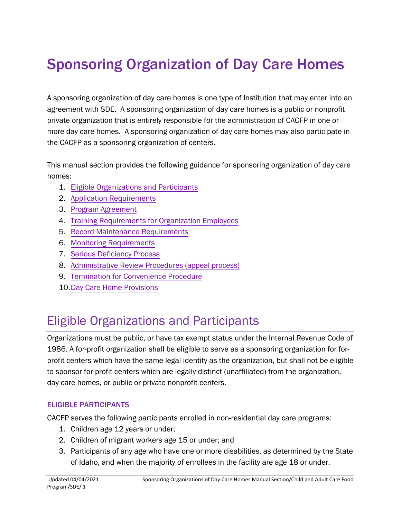# Sponsoring Organization of Day Care Homes

A sponsoring organization of day care homes is one type of Institution that may enter into an agreement with SDE. A sponsoring organization of day care homes is a public or nonprofit private organization that is entirely responsible for the administration of CACFP in one or more day care homes. A sponsoring organization of day care homes may also participate in the CACFP as a sponsoring organization of centers.

This manual section provides the following guidance for sponsoring organization of day care homes:

- 1. Eligible Organizations and Participants
- 2. Ap[plication Requirements](#page-1-0)
- 3. Pr[ogram Agreement](#page-5-0)
- 4. Training [Requirements](#page-8-0) for Organization Employees
- 5. [Record Maintenance Requirements](#page-9-0)
- 6. [Monitoring Requirements](#page-15-0)
- 7. [Serious Deficiency Process](#page-22-0)
- 8. [Administrative Review Procedures \(appeal process\)](#page-30-0)
- 9. Te[rmination for](#page-33-0) Convenience Procedure
- 10.Day [Care Home](#page-37-0) Provisions

# Eligible Organizations and Participants

Organizations must be public, or have tax exempt status under the Internal Revenue Code of 1986. A for-profit organization shall be eligible to serve as a sponsoring organization for forprofit centers which have the same legal identity as the organization, but shall not be eligible to sponsor for-profit centers which are legally distinct (unaffiliated) from the organization, day care homes, or public or private nonprofit centers.

## ELIGIBLE PARTICIPANTS

CACFP serves the following participants enrolled in non-residential day care programs:

- 1. Children age 12 years or under;
- 2. Children of migrant workers age 15 or under; and
- 3. Participants of any age who have one or more disabilities, as determined by the State of Idaho, and when the majority of enrollees in the facility are age 18 or under.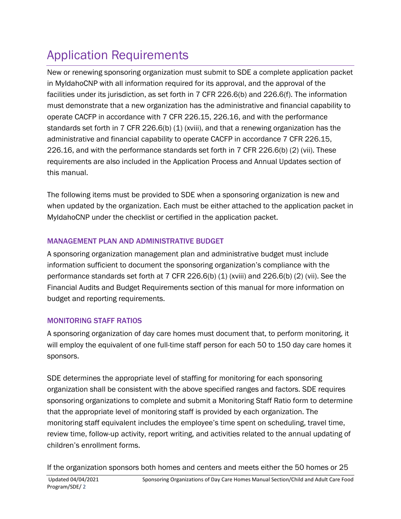# <span id="page-1-0"></span>Application Requirements

New or renewing sponsoring organization must submit to SDE a complete application packet in MyIdahoCNP with all information required for its approval, and the approval of the facilities under its jurisdiction, as set forth in 7 CFR 226.6(b) and 226.6(f). The information must demonstrate that a new organization has the administrative and financial capability to operate CACFP in accordance with 7 CFR 226.15, 226.16, and with the performance standards set forth in 7 CFR 226.6(b) (1) (xviii), and that a renewing organization has the administrative and financial capability to operate CACFP in accordance 7 CFR 226.15, 226.16, and with the performance standards set forth in 7 CFR 226.6(b) (2) (vii). These requirements are also included in the Application Process and Annual Updates section of this manual.

The following items must be provided to SDE when a sponsoring organization is new and when updated by the organization. Each must be either attached to the application packet in MyIdahoCNP under the checklist or certified in the application packet.

# MANAGEMENT PLAN AND ADMINISTRATIVE BUDGET

A sponsoring organization management plan and administrative budget must include information sufficient to document the sponsoring organization's compliance with the performance standards set forth at 7 CFR 226.6(b) (1) (xviii) and 226.6(b) (2) (vii). See the Financial Audits and Budget Requirements section of this manual for more information on budget and reporting requirements.

# MONITORING STAFF RATIOS

A sponsoring organization of day care homes must document that, to perform monitoring, it will employ the equivalent of one full-time staff person for each 50 to 150 day care homes it sponsors.

SDE determines the appropriate level of staffing for monitoring for each sponsoring organization shall be consistent with the above specified ranges and factors. SDE requires sponsoring organizations to complete and submit a Monitoring Staff Ratio form to determine that the appropriate level of monitoring staff is provided by each organization. The monitoring staff equivalent includes the employee's time spent on scheduling, travel time, review time, follow-up activity, report writing, and activities related to the annual updating of children's enrollment forms.

If the organization sponsors both homes and centers and meets either the 50 homes or 25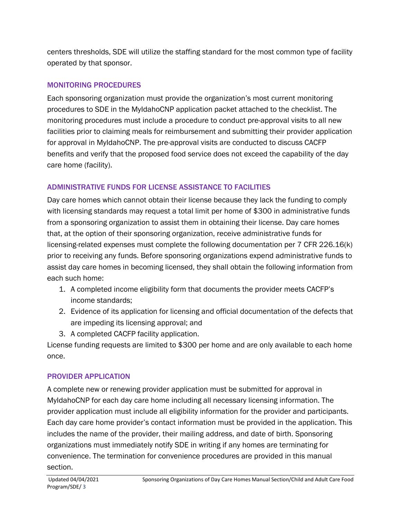centers thresholds, SDE will utilize the staffing standard for the most common type of facility operated by that sponsor.

## MONITORING PROCEDURES

Each sponsoring organization must provide the organization's most current monitoring procedures to SDE in the MyIdahoCNP application packet attached to the checklist. The monitoring procedures must include a procedure to conduct pre-approval visits to all new facilities prior to claiming meals for reimbursement and submitting their provider application for approval in MyIdahoCNP. The pre-approval visits are conducted to discuss CACFP benefits and verify that the proposed food service does not exceed the capability of the day care home (facility).

# ADMINISTRATIVE FUNDS FOR LICENSE ASSISTANCE TO FACILITIES

Day care homes which cannot obtain their license because they lack the funding to comply with licensing standards may request a total limit per home of \$300 in administrative funds from a sponsoring organization to assist them in obtaining their license. Day care homes that, at the option of their sponsoring organization, receive administrative funds for licensing-related expenses must complete the following documentation per 7 CFR 226.16(k) prior to receiving any funds. Before sponsoring organizations expend administrative funds to assist day care homes in becoming licensed, they shall obtain the following information from each such home:

- 1. A completed income eligibility form that documents the provider meets CACFP's income standards;
- 2. Evidence of its application for licensing and official documentation of the defects that are impeding its licensing approval; and
- 3. A completed CACFP facility application.

License funding requests are limited to \$300 per home and are only available to each home once.

# PROVIDER APPLICATION

A complete new or renewing provider application must be submitted for approval in MyIdahoCNP for each day care home including all necessary licensing information. The provider application must include all eligibility information for the provider and participants. Each day care home provider's contact information must be provided in the application. This includes the name of the provider, their mailing address, and date of birth. Sponsoring organizations must immediately notify SDE in writing if any homes are terminating for convenience. The termination for convenience procedures are provided in this manual section.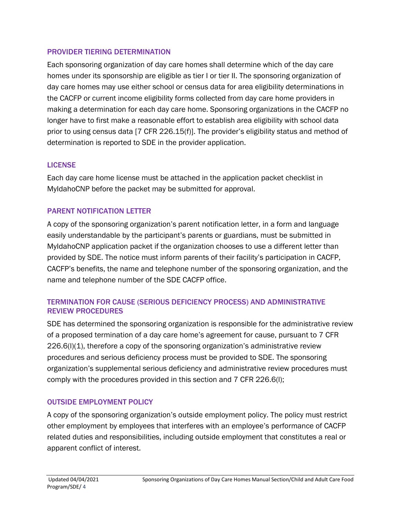#### PROVIDER TIERING DETERMINATION

Each sponsoring organization of day care homes shall determine which of the day care homes under its sponsorship are eligible as tier I or tier II. The sponsoring organization of day care homes may use either school or census data for area eligibility determinations in the CACFP or current income eligibility forms collected from day care home providers in making a determination for each day care home. Sponsoring organizations in the CACFP no longer have to first make a reasonable effort to establish area eligibility with school data prior to using census data [7 CFR 226.15(f)]. The provider's eligibility status and method of determination is reported to SDE in the provider application.

## LICENSE

Each day care home license must be attached in the application packet checklist in MyIdahoCNP before the packet may be submitted for approval.

## PARENT NOTIFICATION LETTER

A copy of the sponsoring organization's parent notification letter, in a form and language easily understandable by the participant's parents or guardians, must be submitted in MyIdahoCNP application packet if the organization chooses to use a different letter than provided by SDE. The notice must inform parents of their facility's participation in CACFP, CACFP's benefits, the name and telephone number of the sponsoring organization, and the name and telephone number of the SDE CACFP office.

## TERMINATION FOR CAUSE (SERIOUS DEFICIENCY PROCESS) AND ADMINISTRATIVE REVIEW PROCEDURES

SDE has determined the sponsoring organization is responsible for the administrative review of a proposed termination of a day care home's agreement for cause, pursuant to 7 CFR  $226.6(1)(1)$ , therefore a copy of the sponsoring organization's administrative review procedures and serious deficiency process must be provided to SDE. The sponsoring organization's supplemental serious deficiency and administrative review procedures must comply with the procedures provided in this section and 7 CFR 226.6(l);

# OUTSIDE EMPLOYMENT POLICY

A copy of the sponsoring organization's outside employment policy. The policy must restrict other employment by employees that interferes with an employee's performance of CACFP related duties and responsibilities, including outside employment that constitutes a real or apparent conflict of interest.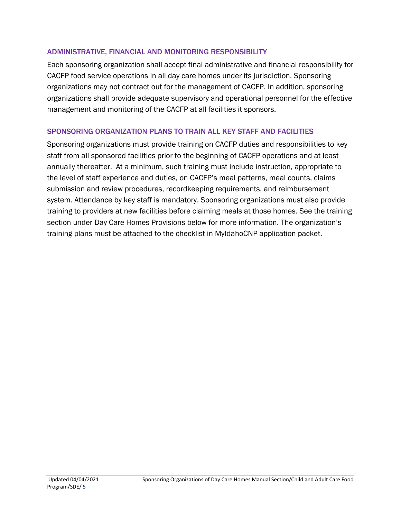#### ADMINISTRATIVE, FINANCIAL AND MONITORING RESPONSIBILITY

Each sponsoring organization shall accept final administrative and financial responsibility for CACFP food service operations in all day care homes under its jurisdiction. Sponsoring organizations may not contract out for the management of CACFP. In addition, sponsoring organizations shall provide adequate supervisory and operational personnel for the effective management and monitoring of the CACFP at all facilities it sponsors.

#### SPONSORING ORGANIZATION PLANS TO TRAIN ALL KEY STAFF AND FACILITIES

Sponsoring organizations must provide training on CACFP duties and responsibilities to key staff from all sponsored facilities prior to the beginning of CACFP operations and at least annually thereafter. At a minimum, such training must include instruction, appropriate to the level of staff experience and duties, on CACFP's meal patterns, meal counts, claims submission and review procedures, recordkeeping requirements, and reimbursement system. Attendance by key staff is mandatory. Sponsoring organizations must also provide training to providers at new facilities before claiming meals at those homes. See the training section under Day Care Homes Provisions below for more information. The organization's training plans must be attached to the checklist in MyIdahoCNP application packet.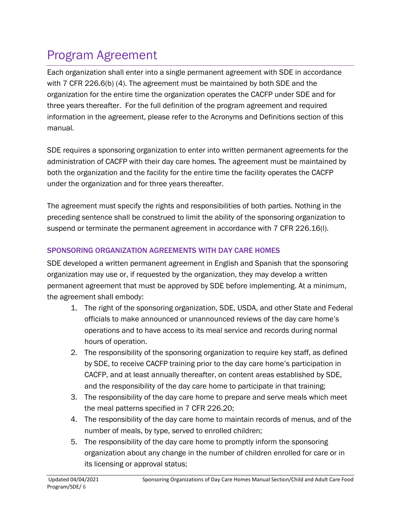# <span id="page-5-0"></span>Program Agreement

Each organization shall enter into a single permanent agreement with SDE in accordance with 7 CFR 226.6(b) (4). The agreement must be maintained by both SDE and the organization for the entire time the organization operates the CACFP under SDE and for three years thereafter. For the full definition of the program agreement and required information in the agreement, please refer to the Acronyms and Definitions section of this manual.

SDE requires a sponsoring organization to enter into written permanent agreements for the administration of CACFP with their day care homes. The agreement must be maintained by both the organization and the facility for the entire time the facility operates the CACFP under the organization and for three years thereafter.

The agreement must specify the rights and responsibilities of both parties. Nothing in the preceding sentence shall be construed to limit the ability of the sponsoring organization to suspend or terminate the permanent agreement in accordance with 7 CFR 226.16(l).

# SPONSORING ORGANIZATION AGREEMENTS WITH DAY CARE HOMES

SDE developed a written permanent agreement in English and Spanish that the sponsoring organization may use or, if requested by the organization, they may develop a written permanent agreement that must be approved by SDE before implementing. At a minimum, the agreement shall embody:

- 1. The right of the sponsoring organization, SDE, USDA, and other State and Federal officials to make announced or unannounced reviews of the day care home's operations and to have access to its meal service and records during normal hours of operation.
- 2. The responsibility of the sponsoring organization to require key staff, as defined by SDE, to receive CACFP training prior to the day care home's participation in CACFP, and at least annually thereafter, on content areas established by SDE, and the responsibility of the day care home to participate in that training;
- 3. The responsibility of the day care home to prepare and serve meals which meet the meal patterns specified in 7 CFR 226.20;
- 4. The responsibility of the day care home to maintain records of menus, and of the number of meals, by type, served to enrolled children;
- 5. The responsibility of the day care home to promptly inform the sponsoring organization about any change in the number of children enrolled for care or in its licensing or approval status;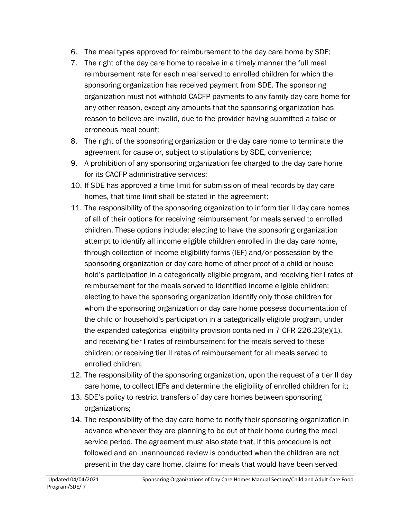- 6. The meal types approved for reimbursement to the day care home by SDE;
- 7. The right of the day care home to receive in a timely manner the full meal reimbursement rate for each meal served to enrolled children for which the sponsoring organization has received payment from SDE. The sponsoring organization must not withhold CACFP payments to any family day care home for any other reason, except any amounts that the sponsoring organization has reason to believe are invalid, due to the provider having submitted a false or erroneous meal count;
- 8. The right of the sponsoring organization or the day care home to terminate the agreement for cause or, subject to stipulations by SDE, convenience;
- 9. A prohibition of any sponsoring organization fee charged to the day care home for its CACFP administrative services;
- 10. If SDE has approved a time limit for submission of meal records by day care homes, that time limit shall be stated in the agreement;
- 11. The responsibility of the sponsoring organization to inform tier II day care homes of all of their options for receiving reimbursement for meals served to enrolled children. These options include: electing to have the sponsoring organization attempt to identify all income eligible children enrolled in the day care home, through collection of income eligibility forms (IEF) and/or possession by the sponsoring organization or day care home of other proof of a child or house hold's participation in a categorically eligible program, and receiving tier I rates of reimbursement for the meals served to identified income eligible children; electing to have the sponsoring organization identify only those children for whom the sponsoring organization or day care home possess documentation of the child or household's participation in a categorically eligible program, under the expanded categorical eligibility provision contained in 7 CFR 226.23(e)(1), and receiving tier I rates of reimbursement for the meals served to these children; or receiving tier II rates of reimbursement for all meals served to enrolled children;
- 12. The responsibility of the sponsoring organization, upon the request of a tier II day care home, to collect IEFs and determine the eligibility of enrolled children for it;
- 13. SDE's policy to restrict transfers of day care homes between sponsoring organizations;
- 14. The responsibility of the day care home to notify their sponsoring organization in advance whenever they are planning to be out of their home during the meal service period. The agreement must also state that, if this procedure is not followed and an unannounced review is conducted when the children are not present in the day care home, claims for meals that would have been served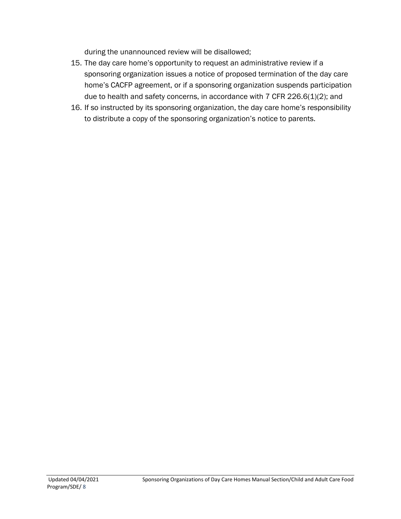during the unannounced review will be disallowed;

- 15. The day care home's opportunity to request an administrative review if a sponsoring organization issues a notice of proposed termination of the day care home's CACFP agreement, or if a sponsoring organization suspends participation due to health and safety concerns, in accordance with 7 CFR 226.6(1)(2); and
- 16. If so instructed by its sponsoring organization, the day care home's responsibility to distribute a copy of the sponsoring organization's notice to parents.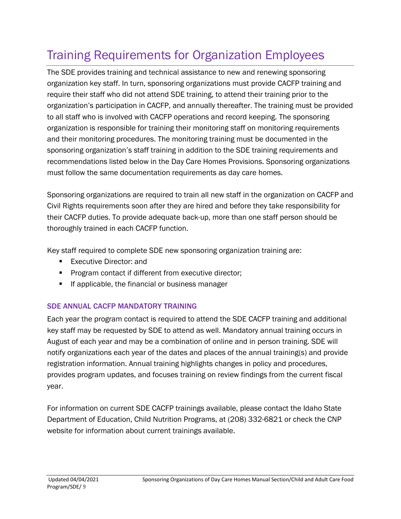# <span id="page-8-0"></span>Training Requirements for Organization Employees

The SDE provides training and technical assistance to new and renewing sponsoring organization key staff. In turn, sponsoring organizations must provide CACFP training and require their staff who did not attend SDE training, to attend their training prior to the organization's participation in CACFP, and annually thereafter. The training must be provided to all staff who is involved with CACFP operations and record keeping. The sponsoring organization is responsible for training their monitoring staff on monitoring requirements and their monitoring procedures. The monitoring training must be documented in the sponsoring organization's staff training in addition to the SDE training requirements and recommendations listed below in the Day Care Homes Provisions. Sponsoring organizations must follow the same documentation requirements as day care homes.

Sponsoring organizations are required to train all new staff in the organization on CACFP and Civil Rights requirements soon after they are hired and before they take responsibility for their CACFP duties. To provide adequate back-up, more than one staff person should be thoroughly trained in each CACFP function.

Key staff required to complete SDE new sponsoring organization training are:

- Executive Director: and
- **Program contact if different from executive director;**
- **If applicable, the financial or business manager**

# SDE ANNUAL CACFP MANDATORY TRAINING

Each year the program contact is required to attend the SDE CACFP training and additional key staff may be requested by SDE to attend as well. Mandatory annual training occurs in August of each year and may be a combination of online and in person training. SDE will notify organizations each year of the dates and places of the annual training(s) and provide registration information. Annual training highlights changes in policy and procedures, provides program updates, and focuses training on review findings from the current fiscal year.

For information on current SDE CACFP trainings available, please contact the Idaho State Department of Education, Child Nutrition Programs, at (208) 332-6821 or check the CNP website for information about current trainings available.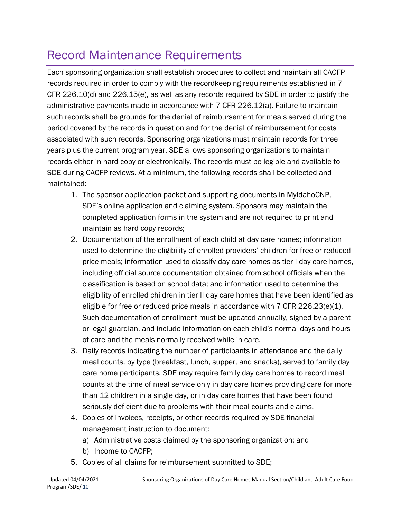# <span id="page-9-0"></span>Record Maintenance Requirements

Each sponsoring organization shall establish procedures to collect and maintain all CACFP records required in order to comply with the recordkeeping requirements established in 7 CFR 226.10(d) and 226.15(e), as well as any records required by SDE in order to justify the administrative payments made in accordance with 7 CFR 226.12(a). Failure to maintain such records shall be grounds for the denial of reimbursement for meals served during the period covered by the records in question and for the denial of reimbursement for costs associated with such records. Sponsoring organizations must maintain records for three years plus the current program year. SDE allows sponsoring organizations to maintain records either in hard copy or electronically. The records must be legible and available to SDE during CACFP reviews. At a minimum, the following records shall be collected and maintained:

- 1. The sponsor application packet and supporting documents in MyIdahoCNP, SDE's online application and claiming system. Sponsors may maintain the completed application forms in the system and are not required to print and maintain as hard copy records;
- 2. Documentation of the enrollment of each child at day care homes; information used to determine the eligibility of enrolled providers' children for free or reduced price meals; information used to classify day care homes as tier I day care homes, including official source documentation obtained from school officials when the classification is based on school data; and information used to determine the eligibility of enrolled children in tier II day care homes that have been identified as eligible for free or reduced price meals in accordance with 7 CFR 226.23(e)(1). Such documentation of enrollment must be updated annually, signed by a parent or legal guardian, and include information on each child's normal days and hours of care and the meals normally received while in care.
- 3. Daily records indicating the number of participants in attendance and the daily meal counts, by type (breakfast, lunch, supper, and snacks), served to family day care home participants. SDE may require family day care homes to record meal counts at the time of meal service only in day care homes providing care for more than 12 children in a single day, or in day care homes that have been found seriously deficient due to problems with their meal counts and claims.
- 4. Copies of invoices, receipts, or other records required by SDE financial management instruction to document:
	- a) Administrative costs claimed by the sponsoring organization; and
	- b) Income to CACFP;
- 5. Copies of all claims for reimbursement submitted to SDE;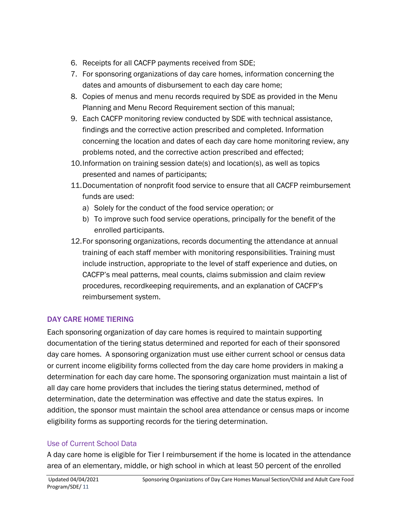- 6. Receipts for all CACFP payments received from SDE;
- 7. For sponsoring organizations of day care homes, information concerning the dates and amounts of disbursement to each day care home;
- 8. Copies of menus and menu records required by SDE as provided in the Menu Planning and Menu Record Requirement section of this manual;
- 9. Each CACFP monitoring review conducted by SDE with technical assistance, findings and the corrective action prescribed and completed. Information concerning the location and dates of each day care home monitoring review, any problems noted, and the corrective action prescribed and effected;
- 10.Information on training session date(s) and location(s), as well as topics presented and names of participants;
- 11.Documentation of nonprofit food service to ensure that all CACFP reimbursement funds are used:
	- a) Solely for the conduct of the food service operation; or
	- b) To improve such food service operations, principally for the benefit of the enrolled participants.
- 12.For sponsoring organizations, records documenting the attendance at annual training of each staff member with monitoring responsibilities. Training must include instruction, appropriate to the level of staff experience and duties, on CACFP's meal patterns, meal counts, claims submission and claim review procedures, recordkeeping requirements, and an explanation of CACFP's reimbursement system.

# DAY CARE HOME TIERING

Each sponsoring organization of day care homes is required to maintain supporting documentation of the tiering status determined and reported for each of their sponsored day care homes. A sponsoring organization must use either current school or census data or current income eligibility forms collected from the day care home providers in making a determination for each day care home. The sponsoring organization must maintain a list of all day care home providers that includes the tiering status determined, method of determination, date the determination was effective and date the status expires. In addition, the sponsor must maintain the school area attendance or census maps or income eligibility forms as supporting records for the tiering determination.

# Use of Current School Data

A day care home is eligible for Tier I reimbursement if the home is located in the attendance area of an elementary, middle, or high school in which at least 50 percent of the enrolled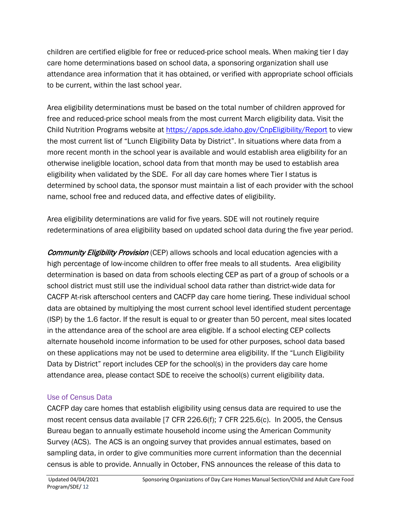children are certified eligible for free or reduced-price school meals. When making tier I day care home determinations based on school data, a sponsoring organization shall use attendance area information that it has obtained, or verified with appropriate school officials to be current, within the last school year.

Area eligibility determinations must be based on the total number of children approved for free and reduced-price school meals from the most current March eligibility data. Visit the Child Nutrition Programs website at<https://apps.sde.idaho.gov/CnpEligibility/Report> to view the most current list of "Lunch Eligibility Data by District". In situations where data from a more recent month in the school year is available and would establish area eligibility for an otherwise ineligible location, school data from that month may be used to establish area eligibility when validated by the SDE. For all day care homes where Tier I status is determined by school data, the sponsor must maintain a list of each provider with the school name, school free and reduced data, and effective dates of eligibility.

Area eligibility determinations are valid for five years. SDE will not routinely require redeterminations of area eligibility based on updated school data during the five year period.

Community Eligibility Provision (CEP) allows schools and local education agencies with a high percentage of low-income children to offer free meals to all students. Area eligibility determination is based on data from schools electing CEP as part of a group of schools or a school district must still use the individual school data rather than district-wide data for CACFP At-risk afterschool centers and CACFP day care home tiering. These individual school data are obtained by multiplying the most current school level identified student percentage (ISP) by the 1.6 factor. If the result is equal to or greater than 50 percent, meal sites located in the attendance area of the school are area eligible. If a school electing CEP collects alternate household income information to be used for other purposes, school data based on these applications may not be used to determine area eligibility. If the "Lunch Eligibility Data by District" report includes CEP for the school(s) in the providers day care home attendance area, please contact SDE to receive the school(s) current eligibility data.

## Use of Census Data

CACFP day care homes that establish eligibility using census data are required to use the most recent census data available [7 CFR 226.6(f); 7 CFR 225.6(c). In 2005, the Census Bureau began to annually estimate household income using the American Community Survey (ACS). The ACS is an ongoing survey that provides annual estimates, based on sampling data, in order to give communities more current information than the decennial census is able to provide. Annually in October, FNS announces the release of this data to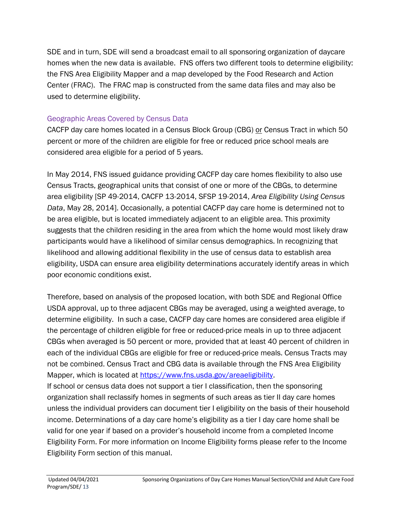SDE and in turn, SDE will send a broadcast email to all sponsoring organization of daycare homes when the new data is available. FNS offers two different tools to determine eligibility: the FNS Area Eligibility Mapper and a map developed by the Food Research and Action Center (FRAC). The FRAC map is constructed from the same data files and may also be used to determine eligibility.

# Geographic Areas Covered by Census Data

CACFP day care homes located in a Census Block Group (CBG) or Census Tract in which 50 percent or more of the children are eligible for free or reduced price school meals are considered area eligible for a period of 5 years.

In May 2014, FNS issued guidance providing CACFP day care homes flexibility to also use Census Tracts, geographical units that consist of one or more of the CBGs, to determine area eligibility [SP 49-2014, CACFP 13-2014, SFSP 19-2014, *Area Eligibility Using Census Data*, May 28, 2014]. Occasionally, a potential CACFP day care home is determined not to be area eligible, but is located immediately adjacent to an eligible area. This proximity suggests that the children residing in the area from which the home would most likely draw participants would have a likelihood of similar census demographics. In recognizing that likelihood and allowing additional flexibility in the use of census data to establish area eligibility, USDA can ensure area eligibility determinations accurately identify areas in which poor economic conditions exist.

Therefore, based on analysis of the proposed location, with both SDE and Regional Office USDA approval, up to three adjacent CBGs may be averaged, using a weighted average, to determine eligibility. In such a case, CACFP day care homes are considered area eligible if the percentage of children eligible for free or reduced-price meals in up to three adjacent CBGs when averaged is 50 percent or more, provided that at least 40 percent of children in each of the individual CBGs are eligible for free or reduced-price meals. Census Tracts may not be combined. Census Tract and CBG data is available through the FNS Area Eligibility Mapper, which is located at [https://www.fns.usda.gov/areaeligibility.](https://www.fns.usda.gov/areaeligibility) If school or census data does not support a tier I classification, then the sponsoring organization shall reclassify homes in segments of such areas as tier II day care homes unless the individual providers can document tier I eligibility on the basis of their household income. Determinations of a day care home's eligibility as a tier I day care home shall be valid for one year if based on a provider's household income from a completed Income

Eligibility Form. For more information on Income Eligibility forms please refer to the Income Eligibility Form section of this manual.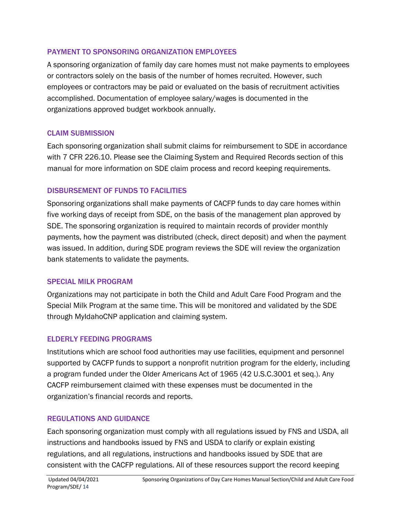#### PAYMENT TO SPONSORING ORGANIZATION EMPLOYEES

A sponsoring organization of family day care homes must not make payments to employees or contractors solely on the basis of the number of homes recruited. However, such employees or contractors may be paid or evaluated on the basis of recruitment activities accomplished. Documentation of employee salary/wages is documented in the organizations approved budget workbook annually.

## CLAIM SUBMISSION

Each sponsoring organization shall submit claims for reimbursement to SDE in accordance with 7 CFR 226.10. Please see the Claiming System and Required Records section of this manual for more information on SDE claim process and record keeping requirements.

## DISBURSEMENT OF FUNDS TO FACILITIES

Sponsoring organizations shall make payments of CACFP funds to day care homes within five working days of receipt from SDE, on the basis of the management plan approved by SDE. The sponsoring organization is required to maintain records of provider monthly payments, how the payment was distributed (check, direct deposit) and when the payment was issued. In addition, during SDE program reviews the SDE will review the organization bank statements to validate the payments.

## SPECIAL MILK PROGRAM

Organizations may not participate in both the Child and Adult Care Food Program and the Special Milk Program at the same time. This will be monitored and validated by the SDE through MyIdahoCNP application and claiming system.

## ELDERLY FEEDING PROGRAMS

Institutions which are school food authorities may use facilities, equipment and personnel supported by CACFP funds to support a nonprofit nutrition program for the elderly, including a program funded under the Older Americans Act of 1965 (42 U.S.C.3001 et seq.). Any CACFP reimbursement claimed with these expenses must be documented in the organization's financial records and reports.

## REGULATIONS AND GUIDANCE

Each sponsoring organization must comply with all regulations issued by FNS and USDA, all instructions and handbooks issued by FNS and USDA to clarify or explain existing regulations, and all regulations, instructions and handbooks issued by SDE that are consistent with the CACFP regulations. All of these resources support the record keeping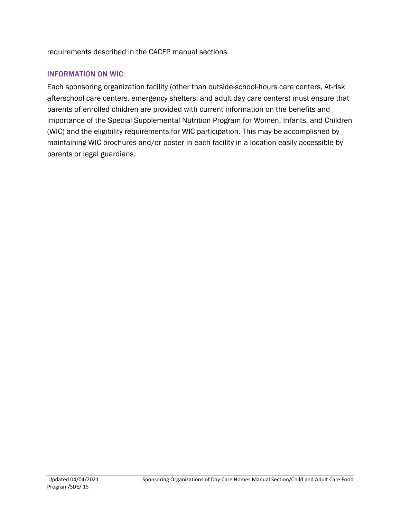requirements described in the CACFP manual sections.

#### INFORMATION ON WIC

Each sponsoring organization facility (other than outside-school-hours care centers, At-risk afterschool care centers, emergency shelters, and adult day care centers) must ensure that parents of enrolled children are provided with current information on the benefits and importance of the Special Supplemental Nutrition Program for Women, Infants, and Children (WIC) and the eligibility requirements for WIC participation. This may be accomplished by maintaining WIC brochures and/or poster in each facility in a location easily accessible by parents or legal guardians.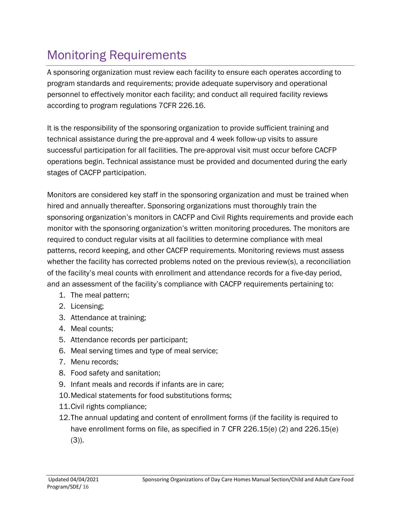# <span id="page-15-0"></span>Monitoring Requirements

A sponsoring organization must review each facility to ensure each operates according to program standards and requirements; provide adequate supervisory and operational personnel to effectively monitor each facility; and conduct all required facility reviews according to program regulations 7CFR 226.16.

It is the responsibility of the sponsoring organization to provide sufficient training and technical assistance during the pre-approval and 4 week follow-up visits to assure successful participation for all facilities. The pre-approval visit must occur before CACFP operations begin. Technical assistance must be provided and documented during the early stages of CACFP participation.

Monitors are considered key staff in the sponsoring organization and must be trained when hired and annually thereafter. Sponsoring organizations must thoroughly train the sponsoring organization's monitors in CACFP and Civil Rights requirements and provide each monitor with the sponsoring organization's written monitoring procedures. The monitors are required to conduct regular visits at all facilities to determine compliance with meal patterns, record keeping, and other CACFP requirements. Monitoring reviews must assess whether the facility has corrected problems noted on the previous review(s), a reconciliation of the facility's meal counts with enrollment and attendance records for a five-day period, and an assessment of the facility's compliance with CACFP requirements pertaining to:

- 1. The meal pattern;
- 2. Licensing;
- 3. Attendance at training;
- 4. Meal counts;
- 5. Attendance records per participant;
- 6. Meal serving times and type of meal service;
- 7. Menu records;
- 8. Food safety and sanitation;
- 9. Infant meals and records if infants are in care;
- 10.Medical statements for food substitutions forms;
- 11.Civil rights compliance;
- 12.The annual updating and content of enrollment forms (if the facility is required to have enrollment forms on file, as specified in 7 CFR 226.15(e) (2) and 226.15(e)  $(3)$ ).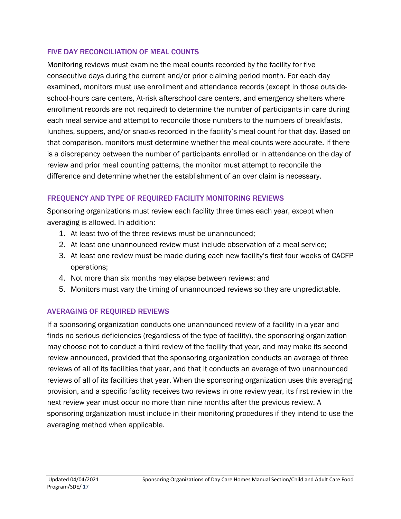#### FIVE DAY RECONCILIATION OF MEAL COUNTS

Monitoring reviews must examine the meal counts recorded by the facility for five consecutive days during the current and/or prior claiming period month. For each day examined, monitors must use enrollment and attendance records (except in those outsideschool-hours care centers, At-risk afterschool care centers, and emergency shelters where enrollment records are not required) to determine the number of participants in care during each meal service and attempt to reconcile those numbers to the numbers of breakfasts, lunches, suppers, and/or snacks recorded in the facility's meal count for that day. Based on that comparison, monitors must determine whether the meal counts were accurate. If there is a discrepancy between the number of participants enrolled or in attendance on the day of review and prior meal counting patterns, the monitor must attempt to reconcile the difference and determine whether the establishment of an over claim is necessary.

# FREQUENCY AND TYPE OF REQUIRED FACILITY MONITORING REVIEWS

Sponsoring organizations must review each facility three times each year, except when averaging is allowed. In addition:

- 1. At least two of the three reviews must be unannounced;
- 2. At least one unannounced review must include observation of a meal service;
- 3. At least one review must be made during each new facility's first four weeks of CACFP operations;
- 4. Not more than six months may elapse between reviews; and
- 5. Monitors must vary the timing of unannounced reviews so they are unpredictable.

# AVERAGING OF REQUIRED REVIEWS

If a sponsoring organization conducts one unannounced review of a facility in a year and finds no serious deficiencies (regardless of the type of facility), the sponsoring organization may choose not to conduct a third review of the facility that year, and may make its second review announced, provided that the sponsoring organization conducts an average of three reviews of all of its facilities that year, and that it conducts an average of two unannounced reviews of all of its facilities that year. When the sponsoring organization uses this averaging provision, and a specific facility receives two reviews in one review year, its first review in the next review year must occur no more than nine months after the previous review. A sponsoring organization must include in their monitoring procedures if they intend to use the averaging method when applicable.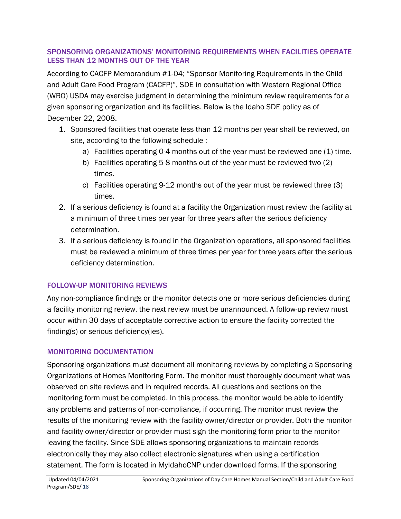#### SPONSORING ORGANIZATIONS' MONITORING REQUIREMENTS WHEN FACILITIES OPERATE LESS THAN 12 MONTHS OUT OF THE YEAR

According to CACFP Memorandum #1-04; "Sponsor Monitoring Requirements in the Child and Adult Care Food Program (CACFP)", SDE in consultation with Western Regional Office (WRO) USDA may exercise judgment in determining the minimum review requirements for a given sponsoring organization and its facilities. Below is the Idaho SDE policy as of December 22, 2008.

- 1. Sponsored facilities that operate less than 12 months per year shall be reviewed, on site, according to the following schedule :
	- a) Facilities operating 0-4 months out of the year must be reviewed one (1) time.
	- b) Facilities operating 5-8 months out of the year must be reviewed two (2) times.
	- c) Facilities operating 9-12 months out of the year must be reviewed three (3) times.
- 2. If a serious deficiency is found at a facility the Organization must review the facility at a minimum of three times per year for three years after the serious deficiency determination.
- 3. If a serious deficiency is found in the Organization operations, all sponsored facilities must be reviewed a minimum of three times per year for three years after the serious deficiency determination.

# FOLLOW-UP MONITORING REVIEWS

Any non-compliance findings or the monitor detects one or more serious deficiencies during a facility monitoring review, the next review must be unannounced. A follow-up review must occur within 30 days of acceptable corrective action to ensure the facility corrected the finding(s) or serious deficiency(ies).

# MONITORING DOCUMENTATION

Sponsoring organizations must document all monitoring reviews by completing a Sponsoring Organizations of Homes Monitoring Form. The monitor must thoroughly document what was observed on site reviews and in required records. All questions and sections on the monitoring form must be completed. In this process, the monitor would be able to identify any problems and patterns of non-compliance, if occurring. The monitor must review the results of the monitoring review with the facility owner/director or provider. Both the monitor and facility owner/director or provider must sign the monitoring form prior to the monitor leaving the facility. Since SDE allows sponsoring organizations to maintain records electronically they may also collect electronic signatures when using a certification statement. The form is located in MyIdahoCNP under download forms. If the sponsoring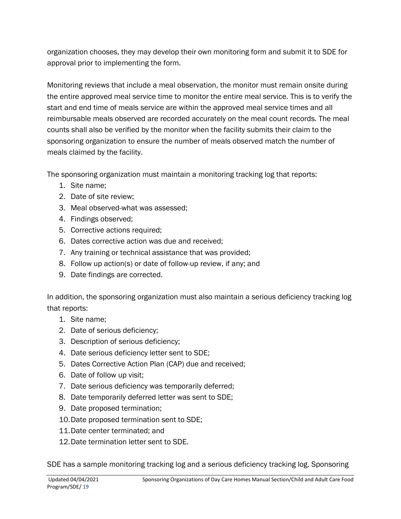organization chooses, they may develop their own monitoring form and submit it to SDE for approval prior to implementing the form.

Monitoring reviews that include a meal observation, the monitor must remain onsite during the entire approved meal service time to monitor the entire meal service. This is to verify the start and end time of meals service are within the approved meal service times and all reimbursable meals observed are recorded accurately on the meal count records. The meal counts shall also be verified by the monitor when the facility submits their claim to the sponsoring organization to ensure the number of meals observed match the number of meals claimed by the facility.

The sponsoring organization must maintain a monitoring tracking log that reports:

- 1. Site name;
- 2. Date of site review;
- 3. Meal observed-what was assessed;
- 4. Findings observed;
- 5. Corrective actions required;
- 6. Dates corrective action was due and received;
- 7. Any training or technical assistance that was provided;
- 8. Follow up action(s) or date of follow-up review, if any; and
- 9. Date findings are corrected.

In addition, the sponsoring organization must also maintain a serious deficiency tracking log that reports:

- 1. Site name;
- 2. Date of serious deficiency;
- 3. Description of serious deficiency;
- 4. Date serious deficiency letter sent to SDE;
- 5. Dates Corrective Action Plan (CAP) due and received;
- 6. Date of follow up visit;
- 7. Date serious deficiency was temporarily deferred;
- 8. Date temporarily deferred letter was sent to SDE;
- 9. Date proposed termination;
- 10.Date proposed termination sent to SDE;
- 11.Date center terminated; and
- 12.Date termination letter sent to SDE.

SDE has a sample monitoring tracking log and a serious deficiency tracking log. Sponsoring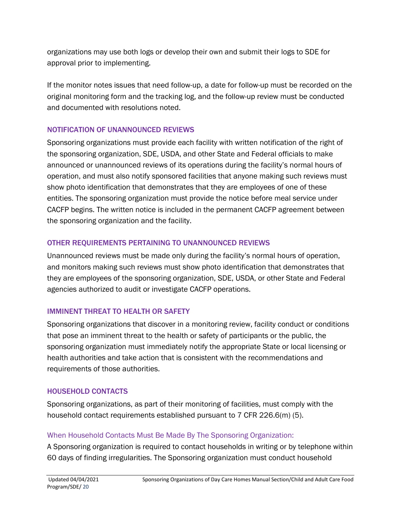organizations may use both logs or develop their own and submit their logs to SDE for approval prior to implementing.

If the monitor notes issues that need follow-up, a date for follow-up must be recorded on the original monitoring form and the tracking log, and the follow-up review must be conducted and documented with resolutions noted.

## NOTIFICATION OF UNANNOUNCED REVIEWS

Sponsoring organizations must provide each facility with written notification of the right of the sponsoring organization, SDE, USDA, and other State and Federal officials to make announced or unannounced reviews of its operations during the facility's normal hours of operation, and must also notify sponsored facilities that anyone making such reviews must show photo identification that demonstrates that they are employees of one of these entities. The sponsoring organization must provide the notice before meal service under CACFP begins. The written notice is included in the permanent CACFP agreement between the sponsoring organization and the facility.

# OTHER REQUIREMENTS PERTAINING TO UNANNOUNCED REVIEWS

Unannounced reviews must be made only during the facility's normal hours of operation, and monitors making such reviews must show photo identification that demonstrates that they are employees of the sponsoring organization, SDE, USDA, or other State and Federal agencies authorized to audit or investigate CACFP operations.

# IMMINENT THREAT TO HEALTH OR SAFETY

Sponsoring organizations that discover in a monitoring review, facility conduct or conditions that pose an imminent threat to the health or safety of participants or the public, the sponsoring organization must immediately notify the appropriate State or local licensing or health authorities and take action that is consistent with the recommendations and requirements of those authorities.

# HOUSEHOLD CONTACTS

Sponsoring organizations, as part of their monitoring of facilities, must comply with the household contact requirements established pursuant to 7 CFR 226.6(m) (5).

# When Household Contacts Must Be Made By The Sponsoring Organization:

A Sponsoring organization is required to contact households in writing or by telephone within 60 days of finding irregularities. The Sponsoring organization must conduct household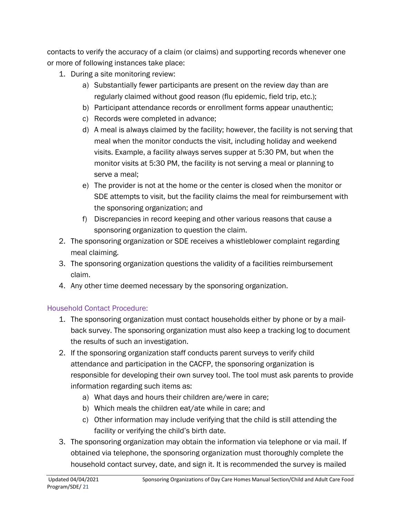contacts to verify the accuracy of a claim (or claims) and supporting records whenever one or more of following instances take place:

- 1. During a site monitoring review:
	- a) Substantially fewer participants are present on the review day than are regularly claimed without good reason (flu epidemic, field trip, etc.);
	- b) Participant attendance records or enrollment forms appear unauthentic;
	- c) Records were completed in advance;
	- d) A meal is always claimed by the facility; however, the facility is not serving that meal when the monitor conducts the visit, including holiday and weekend visits. Example, a facility always serves supper at 5:30 PM, but when the monitor visits at 5:30 PM, the facility is not serving a meal or planning to serve a meal;
	- e) The provider is not at the home or the center is closed when the monitor or SDE attempts to visit, but the facility claims the meal for reimbursement with the sponsoring organization; and
	- f) Discrepancies in record keeping and other various reasons that cause a sponsoring organization to question the claim.
- 2. The sponsoring organization or SDE receives a whistleblower complaint regarding meal claiming.
- 3. The sponsoring organization questions the validity of a facilities reimbursement claim.
- 4. Any other time deemed necessary by the sponsoring organization.

# Household Contact Procedure:

- 1. The sponsoring organization must contact households either by phone or by a mailback survey. The sponsoring organization must also keep a tracking log to document the results of such an investigation.
- 2. If the sponsoring organization staff conducts parent surveys to verify child attendance and participation in the CACFP, the sponsoring organization is responsible for developing their own survey tool. The tool must ask parents to provide information regarding such items as:
	- a) What days and hours their children are/were in care;
	- b) Which meals the children eat/ate while in care; and
	- c) Other information may include verifying that the child is still attending the facility or verifying the child's birth date.
- 3. The sponsoring organization may obtain the information via telephone or via mail. If obtained via telephone, the sponsoring organization must thoroughly complete the household contact survey, date, and sign it. It is recommended the survey is mailed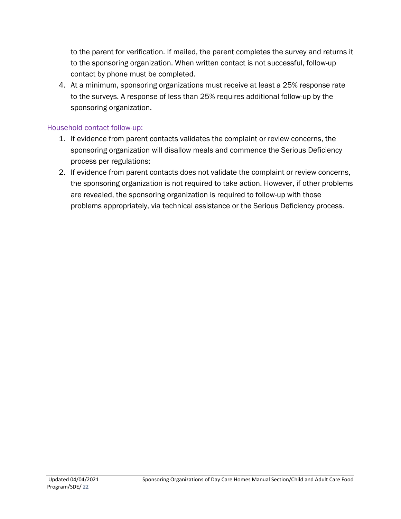to the parent for verification. If mailed, the parent completes the survey and returns it to the sponsoring organization. When written contact is not successful, follow-up contact by phone must be completed.

4. At a minimum, sponsoring organizations must receive at least a 25% response rate to the surveys. A response of less than 25% requires additional follow-up by the sponsoring organization.

#### Household contact follow-up:

- 1. If evidence from parent contacts validates the complaint or review concerns, the sponsoring organization will disallow meals and commence the Serious Deficiency process per regulations;
- 2. If evidence from parent contacts does not validate the complaint or review concerns, the sponsoring organization is not required to take action. However, if other problems are revealed, the sponsoring organization is required to follow-up with those problems appropriately, via technical assistance or the Serious Deficiency process.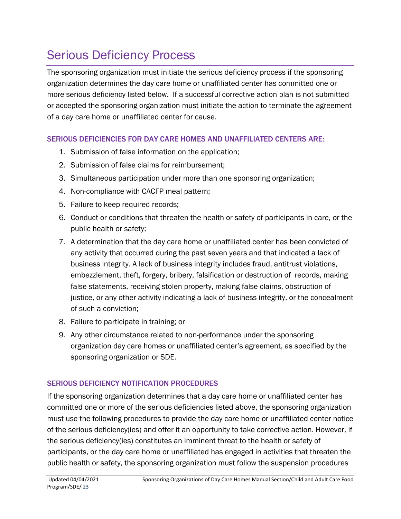# <span id="page-22-0"></span>Serious Deficiency Process

The sponsoring organization must initiate the serious deficiency process if the sponsoring organization determines the day care home or unaffiliated center has committed one or more serious deficiency listed below. If a successful corrective action plan is not submitted or accepted the sponsoring organization must initiate the action to terminate the agreement of a day care home or unaffiliated center for cause.

## SERIOUS DEFICIENCIES FOR DAY CARE HOMES AND UNAFFILIATED CENTERS ARE:

- 1. Submission of false information on the application;
- 2. Submission of false claims for reimbursement;
- 3. Simultaneous participation under more than one sponsoring organization;
- 4. Non-compliance with CACFP meal pattern;
- 5. Failure to keep required records;
- 6. Conduct or conditions that threaten the health or safety of participants in care, or the public health or safety;
- 7. A determination that the day care home or unaffiliated center has been convicted of any activity that occurred during the past seven years and that indicated a lack of business integrity. A lack of business integrity includes fraud, antitrust violations, embezzlement, theft, forgery, bribery, falsification or destruction of records, making false statements, receiving stolen property, making false claims, obstruction of justice, or any other activity indicating a lack of business integrity, or the concealment of such a conviction;
- 8. Failure to participate in training; or
- 9. Any other circumstance related to non-performance under the sponsoring organization day care homes or unaffiliated center's agreement, as specified by the sponsoring organization or SDE.

# SERIOUS DEFICIENCY NOTIFICATION PROCEDURES

If the sponsoring organization determines that a day care home or unaffiliated center has committed one or more of the serious deficiencies listed above, the sponsoring organization must use the following procedures to provide the day care home or unaffiliated center notice of the serious deficiency(ies) and offer it an opportunity to take corrective action. However, if the serious deficiency(ies) constitutes an imminent threat to the health or safety of participants, or the day care home or unaffiliated has engaged in activities that threaten the public health or safety, the sponsoring organization must follow the suspension procedures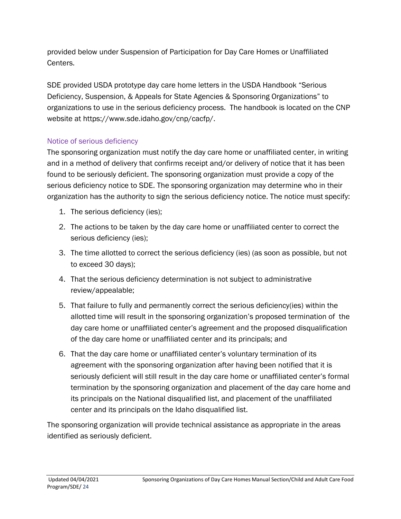provided below under Suspension of Participation for Day Care Homes or Unaffiliated Centers.

SDE provided USDA prototype day care home letters in the USDA Handbook "Serious Deficiency, Suspension, & Appeals for State Agencies & Sponsoring Organizations" to organizations to use in the serious deficiency process. The handbook is located on the CNP website at [https://www.sde.idaho.gov/cnp/cacfp/.](https://www.sde.idaho.gov/cnp/cacfp/)

## Notice of serious deficiency

The sponsoring organization must notify the day care home or unaffiliated center, in writing and in a method of delivery that confirms receipt and/or delivery of notice that it has been found to be seriously deficient. The sponsoring organization must provide a copy of the serious deficiency notice to SDE. The sponsoring organization may determine who in their organization has the authority to sign the serious deficiency notice. The notice must specify:

- 1. The serious deficiency (ies);
- 2. The actions to be taken by the day care home or unaffiliated center to correct the serious deficiency (ies);
- 3. The time allotted to correct the serious deficiency (ies) (as soon as possible, but not to exceed 30 days);
- 4. That the serious deficiency determination is not subject to administrative review/appealable;
- 5. That failure to fully and permanently correct the serious deficiency(ies) within the allotted time will result in the sponsoring organization's proposed termination of the day care home or unaffiliated center's agreement and the proposed disqualification of the day care home or unaffiliated center and its principals; and
- 6. That the day care home or unaffiliated center's voluntary termination of its agreement with the sponsoring organization after having been notified that it is seriously deficient will still result in the day care home or unaffiliated center's formal termination by the sponsoring organization and placement of the day care home and its principals on the National disqualified list, and placement of the unaffiliated center and its principals on the Idaho disqualified list.

The sponsoring organization will provide technical assistance as appropriate in the areas identified as seriously deficient.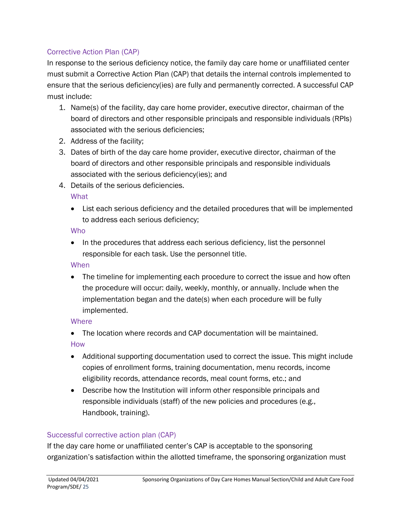#### Corrective Action Plan (CAP)

In response to the serious deficiency notice, the family day care home or unaffiliated center must submit a Corrective Action Plan (CAP) that details the internal controls implemented to ensure that the serious deficiency(ies) are fully and permanently corrected. A successful CAP must include:

- 1. Name(s) of the facility, day care home provider, executive director, chairman of the board of directors and other responsible principals and responsible individuals (RPIs) associated with the serious deficiencies;
- 2. Address of the facility;
- 3. Dates of birth of the day care home provider, executive director, chairman of the board of directors and other responsible principals and responsible individuals associated with the serious deficiency(ies); and
- 4. Details of the serious deficiencies.

**What** 

• List each serious deficiency and the detailed procedures that will be implemented to address each serious deficiency;

Who

• In the procedures that address each serious deficiency, list the personnel responsible for each task. Use the personnel title.

#### When

• The timeline for implementing each procedure to correct the issue and how often the procedure will occur: daily, weekly, monthly, or annually. Include when the implementation began and the date(s) when each procedure will be fully implemented.

## **Where**

- The location where records and CAP documentation will be maintained. How
- Additional supporting documentation used to correct the issue. This might include copies of enrollment forms, training documentation, menu records, income eligibility records, attendance records, meal count forms, etc.; and
- Describe how the Institution will inform other responsible principals and responsible individuals (staff) of the new policies and procedures (e.g., Handbook, training).

## Successful corrective action plan (CAP)

If the day care home or unaffiliated center's CAP is acceptable to the sponsoring organization's satisfaction within the allotted timeframe, the sponsoring organization must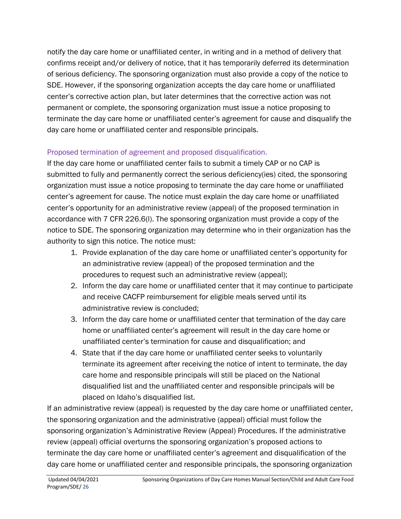notify the day care home or unaffiliated center, in writing and in a method of delivery that confirms receipt and/or delivery of notice, that it has temporarily deferred its determination of serious deficiency. The sponsoring organization must also provide a copy of the notice to SDE. However, if the sponsoring organization accepts the day care home or unaffiliated center's corrective action plan, but later determines that the corrective action was not permanent or complete, the sponsoring organization must issue a notice proposing to terminate the day care home or unaffiliated center's agreement for cause and disqualify the day care home or unaffiliated center and responsible principals.

## Proposed termination of agreement and proposed disqualification.

If the day care home or unaffiliated center fails to submit a timely CAP or no CAP is submitted to fully and permanently correct the serious deficiency(ies) cited, the sponsoring organization must issue a notice proposing to terminate the day care home or unaffiliated center's agreement for cause. The notice must explain the day care home or unaffiliated center's opportunity for an administrative review (appeal) of the proposed termination in accordance with 7 CFR 226.6(l). The sponsoring organization must provide a copy of the notice to SDE. The sponsoring organization may determine who in their organization has the authority to sign this notice. The notice must:

- 1. Provide explanation of the day care home or unaffiliated center's opportunity for an administrative review (appeal) of the proposed termination and the procedures to request such an administrative review (appeal);
- 2. Inform the day care home or unaffiliated center that it may continue to participate and receive CACFP reimbursement for eligible meals served until its administrative review is concluded;
- 3. Inform the day care home or unaffiliated center that termination of the day care home or unaffiliated center's agreement will result in the day care home or unaffiliated center's termination for cause and disqualification; and
- 4. State that if the day care home or unaffiliated center seeks to voluntarily terminate its agreement after receiving the notice of intent to terminate, the day care home and responsible principals will still be placed on the National disqualified list and the unaffiliated center and responsible principals will be placed on Idaho's disqualified list.

If an administrative review (appeal) is requested by the day care home or unaffiliated center, the sponsoring organization and the administrative (appeal) official must follow the sponsoring organization's Administrative Review (Appeal) Procedures. If the administrative review (appeal) official overturns the sponsoring organization's proposed actions to terminate the day care home or unaffiliated center's agreement and disqualification of the day care home or unaffiliated center and responsible principals, the sponsoring organization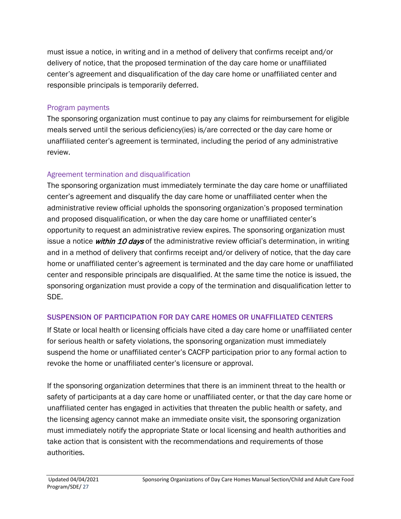must issue a notice, in writing and in a method of delivery that confirms receipt and/or delivery of notice, that the proposed termination of the day care home or unaffiliated center's agreement and disqualification of the day care home or unaffiliated center and responsible principals is temporarily deferred.

## Program payments

The sponsoring organization must continue to pay any claims for reimbursement for eligible meals served until the serious deficiency(ies) is/are corrected or the day care home or unaffiliated center's agreement is terminated, including the period of any administrative review.

# Agreement termination and disqualification

The sponsoring organization must immediately terminate the day care home or unaffiliated center's agreement and disqualify the day care home or unaffiliated center when the administrative review official upholds the sponsoring organization's proposed termination and proposed disqualification, or when the day care home or unaffiliated center's opportunity to request an administrative review expires. The sponsoring organization must issue a notice within 10 days of the administrative review official's determination, in writing and in a method of delivery that confirms receipt and/or delivery of notice, that the day care home or unaffiliated center's agreement is terminated and the day care home or unaffiliated center and responsible principals are disqualified. At the same time the notice is issued, the sponsoring organization must provide a copy of the termination and disqualification letter to SDE.

# SUSPENSION OF PARTICIPATION FOR DAY CARE HOMES OR UNAFFILIATED CENTERS

If State or local health or licensing officials have cited a day care home or unaffiliated center for serious health or safety violations, the sponsoring organization must immediately suspend the home or unaffiliated center's CACFP participation prior to any formal action to revoke the home or unaffiliated center's licensure or approval.

If the sponsoring organization determines that there is an imminent threat to the health or safety of participants at a day care home or unaffiliated center, or that the day care home or unaffiliated center has engaged in activities that threaten the public health or safety, and the licensing agency cannot make an immediate onsite visit, the sponsoring organization must immediately notify the appropriate State or local licensing and health authorities and take action that is consistent with the recommendations and requirements of those authorities.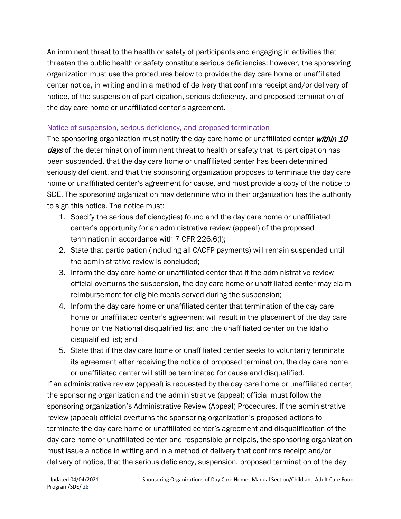An imminent threat to the health or safety of participants and engaging in activities that threaten the public health or safety constitute serious deficiencies; however, the sponsoring organization must use the procedures below to provide the day care home or unaffiliated center notice, in writing and in a method of delivery that confirms receipt and/or delivery of notice, of the suspension of participation, serious deficiency, and proposed termination of the day care home or unaffiliated center's agreement.

## Notice of suspension, serious deficiency, and proposed termination

The sponsoring organization must notify the day care home or unaffiliated center within 10 days of the determination of imminent threat to health or safety that its participation has been suspended, that the day care home or unaffiliated center has been determined seriously deficient, and that the sponsoring organization proposes to terminate the day care home or unaffiliated center's agreement for cause, and must provide a copy of the notice to SDE. The sponsoring organization may determine who in their organization has the authority to sign this notice. The notice must:

- 1. Specify the serious deficiency(ies) found and the day care home or unaffiliated center's opportunity for an administrative review (appeal) of the proposed termination in accordance with 7 CFR 226.6(l);
- 2. State that participation (including all CACFP payments) will remain suspended until the administrative review is concluded;
- 3. Inform the day care home or unaffiliated center that if the administrative review official overturns the suspension, the day care home or unaffiliated center may claim reimbursement for eligible meals served during the suspension;
- 4. Inform the day care home or unaffiliated center that termination of the day care home or unaffiliated center's agreement will result in the placement of the day care home on the National disqualified list and the unaffiliated center on the Idaho disqualified list; and
- 5. State that if the day care home or unaffiliated center seeks to voluntarily terminate its agreement after receiving the notice of proposed termination, the day care home or unaffiliated center will still be terminated for cause and disqualified.

If an administrative review (appeal) is requested by the day care home or unaffiliated center, the sponsoring organization and the administrative (appeal) official must follow the sponsoring organization's Administrative Review (Appeal) Procedures. If the administrative review (appeal) official overturns the sponsoring organization's proposed actions to terminate the day care home or unaffiliated center's agreement and disqualification of the day care home or unaffiliated center and responsible principals, the sponsoring organization must issue a notice in writing and in a method of delivery that confirms receipt and/or delivery of notice, that the serious deficiency, suspension, proposed termination of the day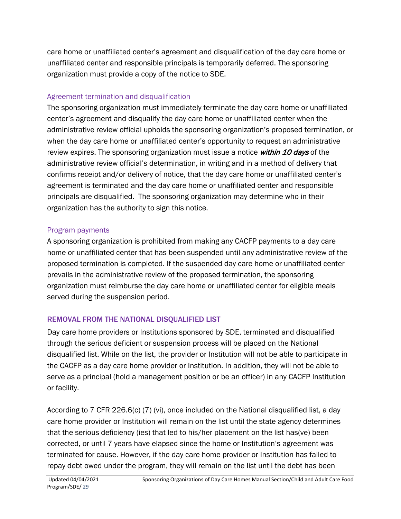care home or unaffiliated center's agreement and disqualification of the day care home or unaffiliated center and responsible principals is temporarily deferred. The sponsoring organization must provide a copy of the notice to SDE.

## Agreement termination and disqualification

The sponsoring organization must immediately terminate the day care home or unaffiliated center's agreement and disqualify the day care home or unaffiliated center when the administrative review official upholds the sponsoring organization's proposed termination, or when the day care home or unaffiliated center's opportunity to request an administrative review expires. The sponsoring organization must issue a notice *within 10 days* of the administrative review official's determination, in writing and in a method of delivery that confirms receipt and/or delivery of notice, that the day care home or unaffiliated center's agreement is terminated and the day care home or unaffiliated center and responsible principals are disqualified. The sponsoring organization may determine who in their organization has the authority to sign this notice.

## Program payments

A sponsoring organization is prohibited from making any CACFP payments to a day care home or unaffiliated center that has been suspended until any administrative review of the proposed termination is completed. If the suspended day care home or unaffiliated center prevails in the administrative review of the proposed termination, the sponsoring organization must reimburse the day care home or unaffiliated center for eligible meals served during the suspension period.

# REMOVAL FROM THE NATIONAL DISQUALIFIED LIST

Day care home providers or Institutions sponsored by SDE, terminated and disqualified through the serious deficient or suspension process will be placed on the National disqualified list. While on the list, the provider or Institution will not be able to participate in the CACFP as a day care home provider or Institution. In addition, they will not be able to serve as a principal (hold a management position or be an officer) in any CACFP Institution or facility.

According to 7 CFR 226.6(c) (7) (vi), once included on the National disqualified list, a day care home provider or Institution will remain on the list until the state agency determines that the serious deficiency (ies) that led to his/her placement on the list has(ve) been corrected, or until 7 years have elapsed since the home or Institution's agreement was terminated for cause. However, if the day care home provider or Institution has failed to repay debt owed under the program, they will remain on the list until the debt has been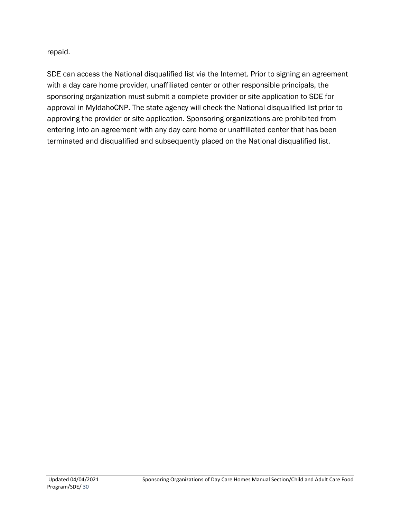repaid.

SDE can access the National disqualified list via the Internet. Prior to signing an agreement with a day care home provider, unaffiliated center or other responsible principals, the sponsoring organization must submit a complete provider or site application to SDE for approval in MyIdahoCNP. The state agency will check the National disqualified list prior to approving the provider or site application. Sponsoring organizations are prohibited from entering into an agreement with any day care home or unaffiliated center that has been terminated and disqualified and subsequently placed on the National disqualified list.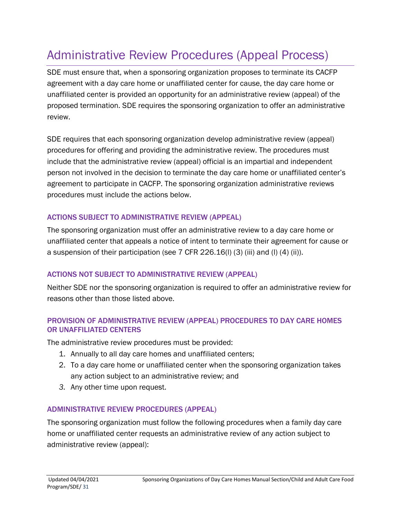# <span id="page-30-0"></span>Administrative Review Procedures (Appeal Process)

SDE must ensure that, when a sponsoring organization proposes to terminate its CACFP agreement with a day care home or unaffiliated center for cause, the day care home or unaffiliated center is provided an opportunity for an administrative review (appeal) of the proposed termination. SDE requires the sponsoring organization to offer an administrative review.

SDE requires that each sponsoring organization develop administrative review (appeal) procedures for offering and providing the administrative review. The procedures must include that the administrative review (appeal) official is an impartial and independent person not involved in the decision to terminate the day care home or unaffiliated center's agreement to participate in CACFP. The sponsoring organization administrative reviews procedures must include the actions below.

## ACTIONS SUBJECT TO ADMINISTRATIVE REVIEW (APPEAL)

The sponsoring organization must offer an administrative review to a day care home or unaffiliated center that appeals a notice of intent to terminate their agreement for cause or a suspension of their participation (see 7 CFR 226.16(l) (3) (iii) and (l) (4) (ii)).

## ACTIONS NOT SUBJECT TO ADMINISTRATIVE REVIEW (APPEAL)

Neither SDE nor the sponsoring organization is required to offer an administrative review for reasons other than those listed above.

#### PROVISION OF ADMINISTRATIVE REVIEW (APPEAL) PROCEDURES TO DAY CARE HOMES OR UNAFFILIATED CENTERS

The administrative review procedures must be provided:

- 1. Annually to all day care homes and unaffiliated centers;
- 2. To a day care home or unaffiliated center when the sponsoring organization takes any action subject to an administrative review; and
- *3.* Any other time upon request.

## ADMINISTRATIVE REVIEW PROCEDURES (APPEAL)

The sponsoring organization must follow the following procedures when a family day care home or unaffiliated center requests an administrative review of any action subject to administrative review (appeal):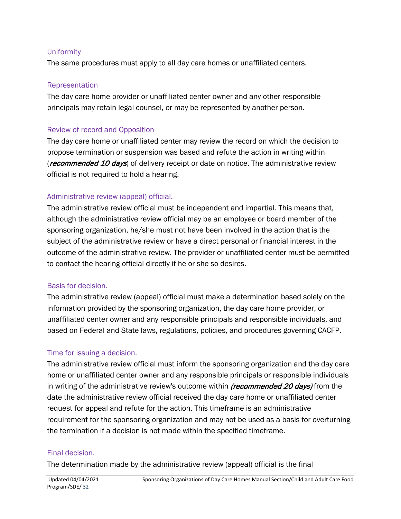#### Uniformity

The same procedures must apply to all day care homes or unaffiliated centers.

#### Representation

The day care home provider or unaffiliated center owner and any other responsible principals may retain legal counsel, or may be represented by another person.

#### Review of record and Opposition

The day care home or unaffiliated center may review the record on which the decision to propose termination or suspension was based and refute the action in writing within (*recommended 10 days*) of delivery receipt or date on notice. The administrative review official is not required to hold a hearing.

#### Administrative review (appeal) official.

The administrative review official must be independent and impartial. This means that, although the administrative review official may be an employee or board member of the sponsoring organization, he/she must not have been involved in the action that is the subject of the administrative review or have a direct personal or financial interest in the outcome of the administrative review. The provider or unaffiliated center must be permitted to contact the hearing official directly if he or she so desires.

#### Basis for decision.

The administrative review (appeal) official must make a determination based solely on the information provided by the sponsoring organization, the day care home provider, or unaffiliated center owner and any responsible principals and responsible individuals, and based on Federal and State laws, regulations, policies, and procedures governing CACFP.

#### Time for issuing a decision.

The administrative review official must inform the sponsoring organization and the day care home or unaffiliated center owner and any responsible principals or responsible individuals in writing of the administrative review's outcome within *(recommended 20 days)* from the date the administrative review official received the day care home or unaffiliated center request for appeal and refute for the action. This timeframe is an administrative requirement for the sponsoring organization and may not be used as a basis for overturning the termination if a decision is not made within the specified timeframe.

#### Final decision.

The determination made by the administrative review (appeal) official is the final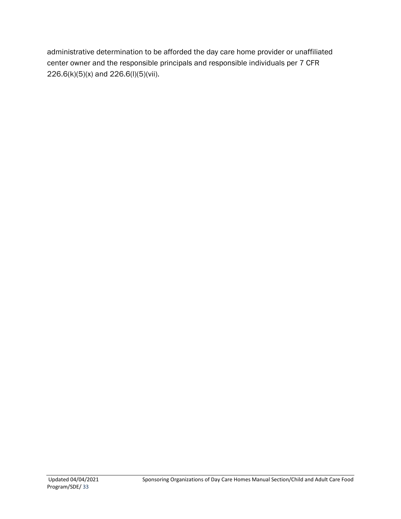administrative determination to be afforded the day care home provider or unaffiliated center owner and the responsible principals and responsible individuals per 7 CFR 226.6(k)(5)(x) and 226.6(l)(5)(vii).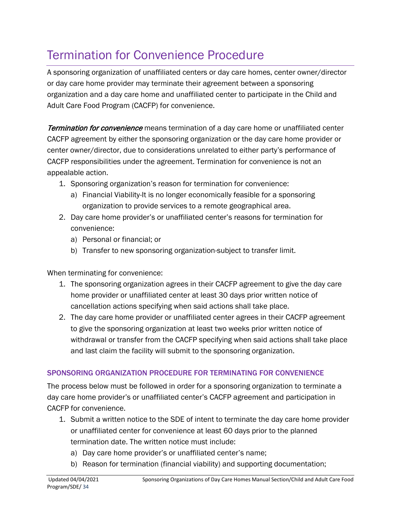# <span id="page-33-0"></span>Termination for Convenience Procedure

A sponsoring organization of unaffiliated centers or day care homes, center owner/director or day care home provider may terminate their agreement between a sponsoring organization and a day care home and unaffiliated center to participate in the Child and Adult Care Food Program (CACFP) for convenience.

Termination for convenience means termination of a day care home or unaffiliated center CACFP agreement by either the sponsoring organization or the day care home provider or center owner/director, due to considerations unrelated to either party's performance of CACFP responsibilities under the agreement. Termination for convenience is not an appealable action.

- 1. Sponsoring organization's reason for termination for convenience:
	- a) Financial Viability-It is no longer economically feasible for a sponsoring organization to provide services to a remote geographical area.
- 2. Day care home provider's or unaffiliated center's reasons for termination for convenience:
	- a) Personal or financial; or
	- b) Transfer to new sponsoring organization-subject to transfer limit.

When terminating for convenience:

- 1. The sponsoring organization agrees in their CACFP agreement to give the day care home provider or unaffiliated center at least 30 days prior written notice of cancellation actions specifying when said actions shall take place.
- 2. The day care home provider or unaffiliated center agrees in their CACFP agreement to give the sponsoring organization at least two weeks prior written notice of withdrawal or transfer from the CACFP specifying when said actions shall take place and last claim the facility will submit to the sponsoring organization.

## SPONSORING ORGANIZATION PROCEDURE FOR TERMINATING FOR CONVENIENCE

The process below must be followed in order for a sponsoring organization to terminate a day care home provider's or unaffiliated center's CACFP agreement and participation in CACFP for convenience.

- 1. Submit a written notice to the SDE of intent to terminate the day care home provider or unaffiliated center for convenience at least 60 days prior to the planned termination date. The written notice must include:
	- a) Day care home provider's or unaffiliated center's name;
	- b) Reason for termination (financial viability) and supporting documentation;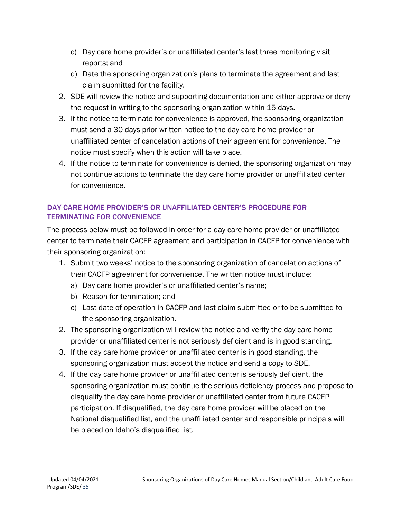- c) Day care home provider's or unaffiliated center's last three monitoring visit reports; and
- d) Date the sponsoring organization's plans to terminate the agreement and last claim submitted for the facility.
- 2. SDE will review the notice and supporting documentation and either approve or deny the request in writing to the sponsoring organization within 15 days.
- 3. If the notice to terminate for convenience is approved, the sponsoring organization must send a 30 days prior written notice to the day care home provider or unaffiliated center of cancelation actions of their agreement for convenience. The notice must specify when this action will take place.
- 4. If the notice to terminate for convenience is denied, the sponsoring organization may not continue actions to terminate the day care home provider or unaffiliated center for convenience.

#### DAY CARE HOME PROVIDER'S OR UNAFFILIATED CENTER'S PROCEDURE FOR TERMINATING FOR CONVENIENCE

The process below must be followed in order for a day care home provider or unaffiliated center to terminate their CACFP agreement and participation in CACFP for convenience with their sponsoring organization:

- 1. Submit two weeks' notice to the sponsoring organization of cancelation actions of their CACFP agreement for convenience. The written notice must include:
	- a) Day care home provider's or unaffiliated center's name;
	- b) Reason for termination; and
	- c) Last date of operation in CACFP and last claim submitted or to be submitted to the sponsoring organization.
- 2. The sponsoring organization will review the notice and verify the day care home provider or unaffiliated center is not seriously deficient and is in good standing.
- 3. If the day care home provider or unaffiliated center is in good standing, the sponsoring organization must accept the notice and send a copy to SDE.
- 4. If the day care home provider or unaffiliated center is seriously deficient, the sponsoring organization must continue the serious deficiency process and propose to disqualify the day care home provider or unaffiliated center from future CACFP participation. If disqualified, the day care home provider will be placed on the National disqualified list, and the unaffiliated center and responsible principals will be placed on Idaho's disqualified list.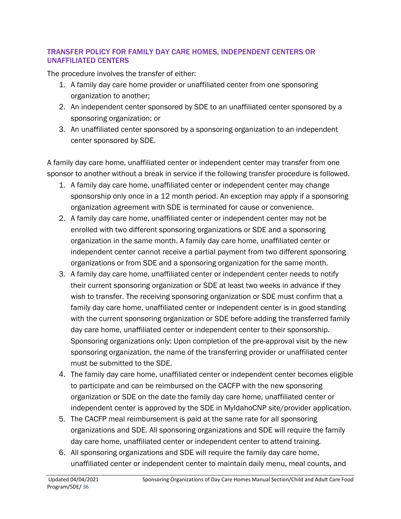#### TRANSFER POLICY FOR FAMILY DAY CARE HOMES, INDEPENDENT CENTERS OR UNAFFILIATED CENTERS

The procedure involves the transfer of either:

- 1. A family day care home provider or unaffiliated center from one sponsoring organization to another;
- 2. An independent center sponsored by SDE to an unaffiliated center sponsored by a sponsoring organization; or
- 3. An unaffiliated center sponsored by a sponsoring organization to an independent center sponsored by SDE.

A family day care home, unaffiliated center or independent center may transfer from one sponsor to another without a break in service if the following transfer procedure is followed.

- 1. A family day care home, unaffiliated center or independent center may change sponsorship only once in a 12 month period. An exception may apply if a sponsoring organization agreement with SDE is terminated for cause or convenience.
- 2. A family day care home, unaffiliated center or independent center may not be enrolled with two different sponsoring organizations or SDE and a sponsoring organization in the same month. A family day care home, unaffiliated center or independent center cannot receive a partial payment from two different sponsoring organizations or from SDE and a sponsoring organization for the same month.
- 3. A family day care home, unaffiliated center or independent center needs to notify their current sponsoring organization or SDE at least two weeks in advance if they wish to transfer. The receiving sponsoring organization or SDE must confirm that a family day care home, unaffiliated center or independent center is in good standing with the current sponsoring organization or SDE before adding the transferred family day care home, unaffiliated center or independent center to their sponsorship. Sponsoring organizations only: Upon completion of the pre-approval visit by the new sponsoring organization, the name of the transferring provider or unaffiliated center must be submitted to the SDE.
- 4. The family day care home, unaffiliated center or independent center becomes eligible to participate and can be reimbursed on the CACFP with the new sponsoring organization or SDE on the date the family day care home, unaffiliated center or independent center is approved by the SDE in MyIdahoCNP site/provider application.
- 5. The CACFP meal reimbursement is paid at the same rate for all sponsoring organizations and SDE. All sponsoring organizations and SDE will require the family day care home, unaffiliated center or independent center to attend training.
- 6. All sponsoring organizations and SDE will require the family day care home, unaffiliated center or independent center to maintain daily menu, meal counts, and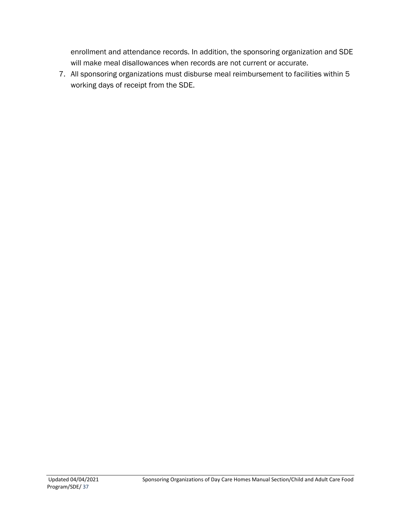enrollment and attendance records. In addition, the sponsoring organization and SDE will make meal disallowances when records are not current or accurate.

7. All sponsoring organizations must disburse meal reimbursement to facilities within 5 working days of receipt from the SDE.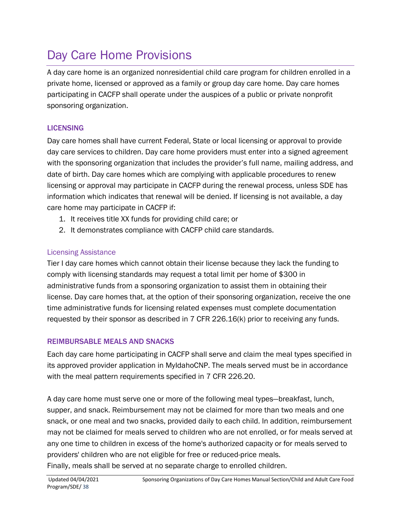# <span id="page-37-0"></span>Day Care Home Provisions

A day care home is an organized nonresidential child care program for children enrolled in a private home, licensed or approved as a family or group day care home. Day care homes participating in CACFP shall operate under the auspices of a public or private nonprofit sponsoring organization.

## **LICENSING**

Day care homes shall have current Federal, State or local licensing or approval to provide day care services to children. Day care home providers must enter into a signed agreement with the sponsoring organization that includes the provider's full name, mailing address, and date of birth. Day care homes which are complying with applicable procedures to renew licensing or approval may participate in CACFP during the renewal process, unless SDE has information which indicates that renewal will be denied. If licensing is not available, a day care home may participate in CACFP if:

- 1. It receives title XX funds for providing child care; or
- 2. It demonstrates compliance with CACFP child care standards.

## Licensing Assistance

Tier I day care homes which cannot obtain their license because they lack the funding to comply with licensing standards may request a total limit per home of \$300 in administrative funds from a sponsoring organization to assist them in obtaining their license. Day care homes that, at the option of their sponsoring organization, receive the one time administrative funds for licensing related expenses must complete documentation requested by their sponsor as described in 7 CFR 226.16(k) prior to receiving any funds.

## REIMBURSABLE MEALS AND SNACKS

Each day care home participating in CACFP shall serve and claim the meal types specified in its approved provider application in MyIdahoCNP. The meals served must be in accordance with the meal pattern requirements specified in 7 CFR 226.20.

A day care home must serve one or more of the following meal types—breakfast, lunch, supper, and snack. Reimbursement may not be claimed for more than two meals and one snack, or one meal and two snacks, provided daily to each child. In addition, reimbursement may not be claimed for meals served to children who are not enrolled, or for meals served at any one time to children in excess of the home's authorized capacity or for meals served to providers' children who are not eligible for free or reduced-price meals. Finally, meals shall be served at no separate charge to enrolled children.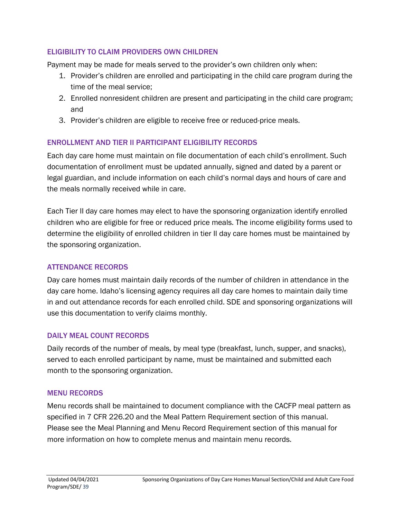#### ELIGIBILITY TO CLAIM PROVIDERS OWN CHILDREN

Payment may be made for meals served to the provider's own children only when:

- 1. Provider's children are enrolled and participating in the child care program during the time of the meal service;
- 2. Enrolled nonresident children are present and participating in the child care program; and
- 3. Provider's children are eligible to receive free or reduced-price meals.

## ENROLLMENT AND TIER II PARTICIPANT ELIGIBILITY RECORDS

Each day care home must maintain on file documentation of each child's enrollment. Such documentation of enrollment must be updated annually, signed and dated by a parent or legal guardian, and include information on each child's normal days and hours of care and the meals normally received while in care.

Each Tier II day care homes may elect to have the sponsoring organization identify enrolled children who are eligible for free or reduced price meals. The income eligibility forms used to determine the eligibility of enrolled children in tier II day care homes must be maintained by the sponsoring organization.

## ATTENDANCE RECORDS

Day care homes must maintain daily records of the number of children in attendance in the day care home. Idaho's licensing agency requires all day care homes to maintain daily time in and out attendance records for each enrolled child. SDE and sponsoring organizations will use this documentation to verify claims monthly.

#### DAILY MEAL COUNT RECORDS

Daily records of the number of meals, by meal type (breakfast, lunch, supper, and snacks), served to each enrolled participant by name, must be maintained and submitted each month to the sponsoring organization.

## MENU RECORDS

Menu records shall be maintained to document compliance with the CACFP meal pattern as specified in 7 CFR 226.20 and the Meal Pattern Requirement section of this manual. Please see the Meal Planning and Menu Record Requirement section of this manual for more information on how to complete menus and maintain menu records.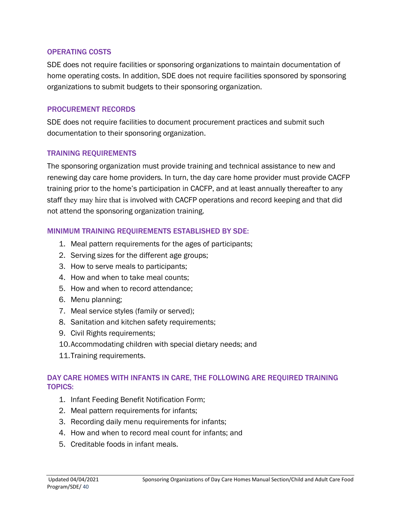#### OPERATING COSTS

SDE does not require facilities or sponsoring organizations to maintain documentation of home operating costs. In addition, SDE does not require facilities sponsored by sponsoring organizations to submit budgets to their sponsoring organization.

#### PROCUREMENT RECORDS

SDE does not require facilities to document procurement practices and submit such documentation to their sponsoring organization.

#### TRAINING REQUIREMENTS

The sponsoring organization must provide training and technical assistance to new and renewing day care home providers. In turn, the day care home provider must provide CACFP training prior to the home's participation in CACFP, and at least annually thereafter to any staff they may hire that is involved with CACFP operations and record keeping and that did not attend the sponsoring organization training.

#### MINIMUM TRAINING REQUIREMENTS ESTABLISHED BY SDE:

- 1. Meal pattern requirements for the ages of participants;
- 2. Serving sizes for the different age groups;
- 3. How to serve meals to participants;
- 4. How and when to take meal counts;
- 5. How and when to record attendance;
- 6. Menu planning;
- 7. Meal service styles (family or served);
- 8. Sanitation and kitchen safety requirements;
- 9. Civil Rights requirements;
- 10.Accommodating children with special dietary needs; and
- 11.Training requirements.

#### DAY CARE HOMES WITH INFANTS IN CARE, THE FOLLOWING ARE REQUIRED TRAINING TOPICS:

- 1. Infant Feeding Benefit Notification Form;
- 2. Meal pattern requirements for infants;
- 3. Recording daily menu requirements for infants;
- 4. How and when to record meal count for infants; and
- 5. Creditable foods in infant meals.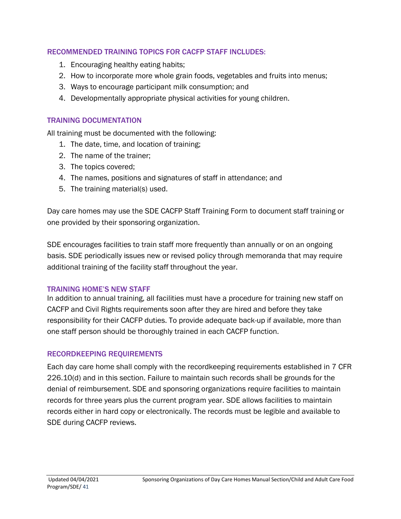#### RECOMMENDED TRAINING TOPICS FOR CACFP STAFF INCLUDES:

- 1. Encouraging healthy eating habits;
- 2. How to incorporate more whole grain foods, vegetables and fruits into menus;
- 3. Ways to encourage participant milk consumption; and
- 4. Developmentally appropriate physical activities for young children.

#### TRAINING DOCUMENTATION

All training must be documented with the following:

- 1. The date, time, and location of training;
- 2. The name of the trainer;
- 3. The topics covered;
- 4. The names, positions and signatures of staff in attendance; and
- 5. The training material(s) used.

Day care homes may use the SDE CACFP Staff Training Form to document staff training or one provided by their sponsoring organization.

SDE encourages facilities to train staff more frequently than annually or on an ongoing basis. SDE periodically issues new or revised policy through memoranda that may require additional training of the facility staff throughout the year.

#### TRAINING HOME'S NEW STAFF

In addition to annual training, all facilities must have a procedure for training new staff on CACFP and Civil Rights requirements soon after they are hired and before they take responsibility for their CACFP duties. To provide adequate back-up if available, more than one staff person should be thoroughly trained in each CACFP function.

#### RECORDKEEPING REQUIREMENTS

Each day care home shall comply with the recordkeeping requirements established in 7 CFR 226.10(d) and in this section. Failure to maintain such records shall be grounds for the denial of reimbursement. SDE and sponsoring organizations require facilities to maintain records for three years plus the current program year. SDE allows facilities to maintain records either in hard copy or electronically. The records must be legible and available to SDE during CACFP reviews.